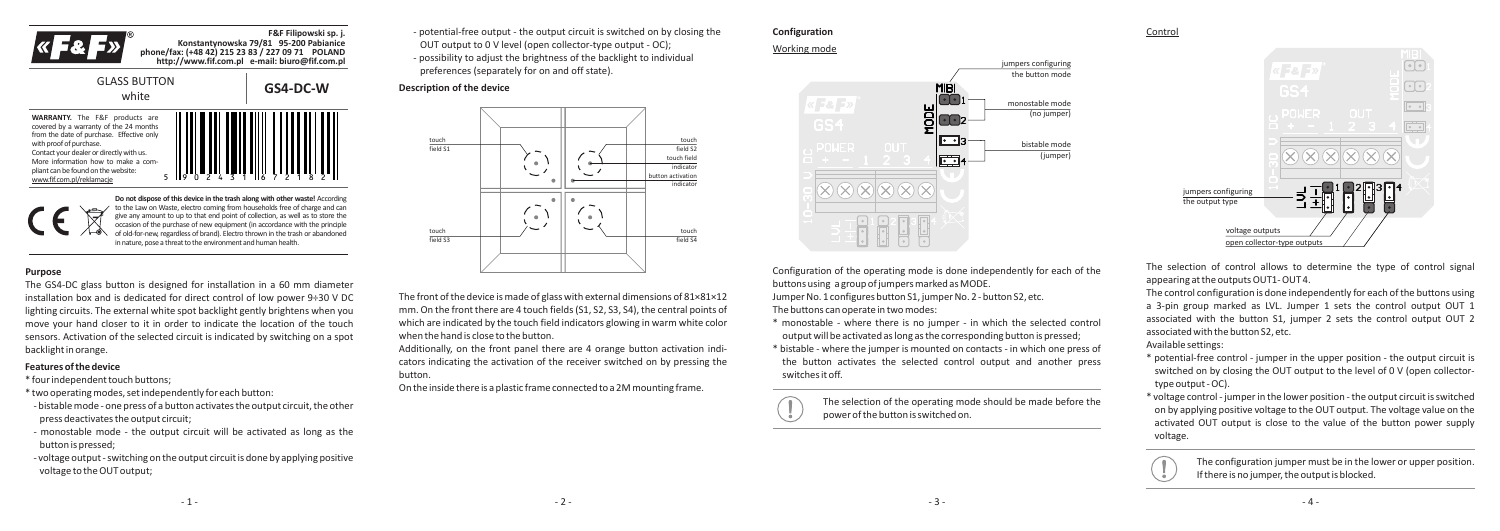

**F&F Filipowski sp. j. Konstantynowska 79/81 95-200 Pabianice phone/fax: (+48 42) 215 23 83 / 227 09 71 POLAND http://www.fif.com.pl e-mail: biuro@fif.com.pl**

**GS4-DC-W**

# GLASS BUTTON



**Do not dispose of this device in the trash along with other waste!** According to the Law on Waste, electro coming from households free of charge and can give any amount to up to that end point of collection, as well as to store the occasion of the purchase of new equipment (in accordance with the principle of old-for-new, regardless of brand). Electro thrown in the trash or abandoned in nature, pose a threat to the environment and human health.

## **Purpose**

The GS4-DC glass button is designed for installation in a 60 mm diameter installation box and is dedicated for direct control of low power 9÷30 V DC lighting circuits. The external white spot backlight gently brightens when you move your hand closer to it in order to indicate the location of the touch sensors. Activation of the selected circuit is indicated by switching on a spot backlight in orange.

#### **Features of the device**

\* four independent touch buttons;

- \* two operating modes, set independently for each button:
- bistable mode one press of a button activates the output circuit, the other press deactivates the output circuit;
- monostable mode the output circuit will be activated as long as the button is pressed;
- voltage output switching on the output circuit is done by applying positive voltage to the OUT output;

- potential-free output - the output circuit is switched on by closing the OUT output to 0 V level (open collector-type output - OC); - possibility to adjust the brightness of the backlight to individual preferences (separately for on and off state).

#### **Description of the device**



The front of the device is made of glass with external dimensions of 81×81×12 mm. On the front there are 4 touch fields (S1, S2, S3, S4), the central points of which are indicated by the touch field indicators glowing in warm white color when the hand is close to the button.

Additionally, on the front panel there are 4 orange button activation indicators indicating the activation of the receiver switched on by pressing the button.

On the inside there is a plastic frame connected to a 2M mounting frame.

# **Configuration**





Configuration of the operating mode is done independently for each of the buttons using a group of jumpers marked as MODE.

Jumper No. 1 configures button S1, jumper No. 2 - button S2, etc. The buttons can operate in two modes:

- \* monostable where there is no jumper in which the selected control output will be activated as long as the corresponding button is pressed;
- \* bistable where the jumper is mounted on contacts in which one press of the button activates the selected control output and another press switches it off.

The selection of the operating mode should be made before the power of the button is switched on.

Control



The selection of control allows to determine the type of control signal appearing at the outputs OUT1- OUT 4.

The control configuration is done independently for each of the buttons using a 3-pin group marked as LVL. Jumper 1 sets the control output OUT 1 associated with the button S1, jumper 2 sets the control output OUT 2 associated with the button S2, etc.

Available settings:

- \* potential-free control jumper in the upper position the output circuit is switched on by closing the OUT output to the level of 0 V (open collectortype output - OC).
- \* voltage control jumper in the lower position the output circuit is switched on by applying positive voltage to the OUT output. The voltage value on the activated OUT output is close to the value of the button power supply voltage.



The configuration jumper must be in the lower or upper position. If there is no jumper, the output is blocked.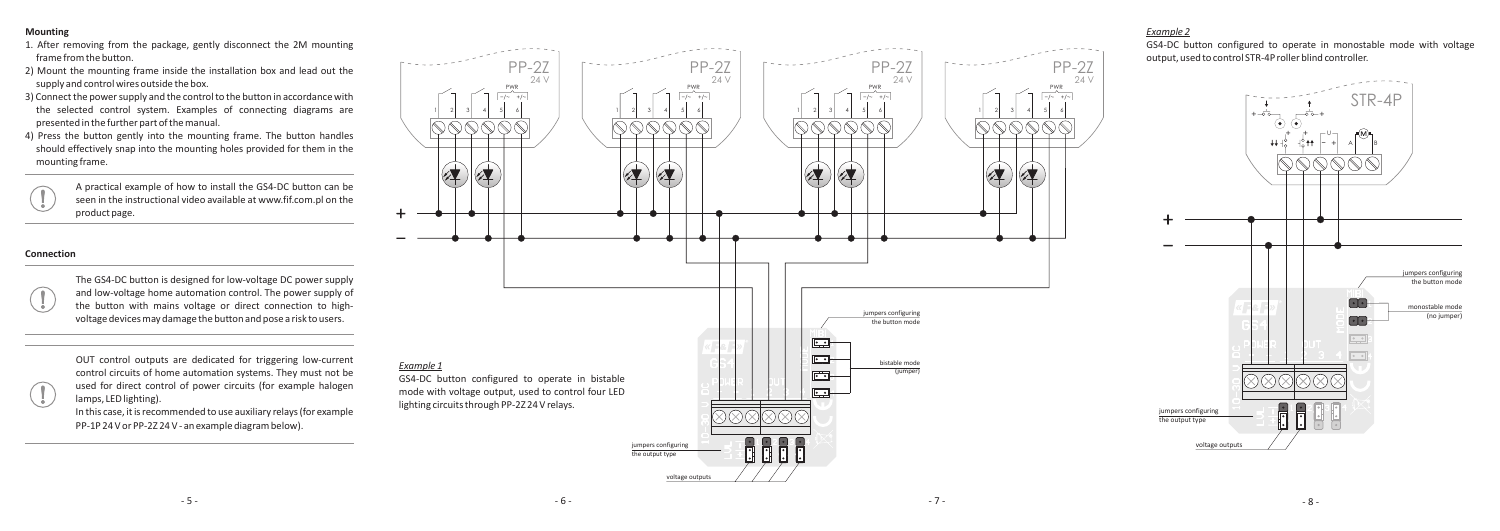## **Mounting**

- 1. After removing from the package, gently disconnect the 2M mounting frame from the button.
- 2) Mount the mounting frame inside the installation box and lead out the supply and control wires outside the box.
- 3) Connect the power supply and the control to the button in accordance with the selected control system. Examples of connecting diagrams are presented in the further part of the manual.
- 4) Press the button gently into the mounting frame. The button handles should effectively snap into the mounting holes provided for them in the mounting frame.
	- A practical example of how to install the GS4-DC button can be seen in the instructional video available at www.fif.com.pl on the product page.

#### **Connection**

The GS4-DC button is designed for low-voltage DC power supply and low-voltage home automation control. The power supply of the button with mains voltage or direct connection to highvoltage devices may damage the button and pose a risk to users.



In this case, it is recommended to use auxiliary relays (for example PP-1P 24 V or PP-2Z 24 V - an example diagram below).



## *Example 2*

GS4-DC button configured to operate in monostable mode with voltage output, used to control STR-4P roller blind controller.